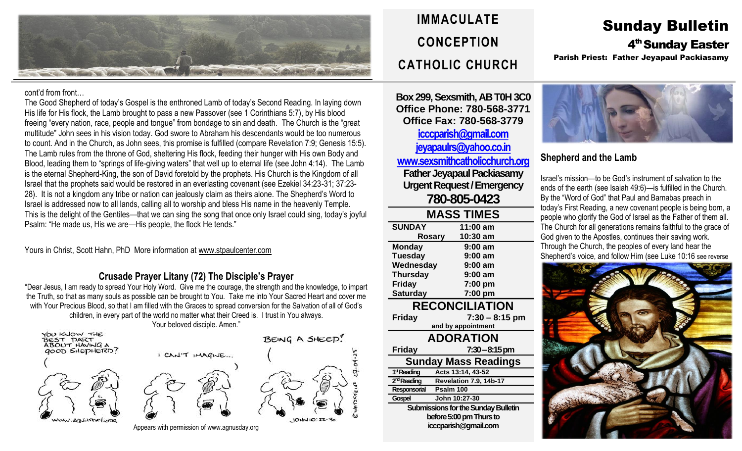

cont'd from front…

The Good Shepherd of today's Gospel is the enthroned Lamb of today's Second Reading. In laying down His life for His flock, the Lamb brought to pass a new Passover (see 1 Corinthians 5:7), by His blood freeing "every nation, race, people and tongue" from bondage to sin and death. The Church is the "great multitude" John sees in his vision today. God swore to Abraham his descendants would be too numerous to count. And in the Church, as John sees, this promise is fulfilled (compare Revelation 7:9; Genesis 15:5). The Lamb rules from the throne of God, sheltering His flock, feeding their hunger with His own Body and Blood, leading them to "springs of life-giving waters" that well up to eternal life (see John 4:14). The Lamb is the eternal Shepherd-King, the son of David foretold by the prophets. His Church is the Kingdom of all Israel that the prophets said would be restored in an everlasting covenant (see Ezekiel 34:23-31; 37:23- 28). It is not a kingdom any tribe or nation can jealously claim as theirs alone. The Shepherd's Word to Israel is addressed now to all lands, calling all to worship and bless His name in the heavenly Temple. This is the delight of the Gentiles—that we can sing the song that once only Israel could sing, today's joyful Psalm: "He made us, His we are—His people, the flock He tends."

Yours in Christ, Scott Hahn, PhD More information at [www.stpaulcenter.com](http://www.stpaulcenter.com/)

# **Crusade Prayer Litany (72) The Disciple's Prayer**

"Dear Jesus, I am ready to spread Your Holy Word. Give me the courage, the strength and the knowledge, to impart the Truth, so that as many souls as possible can be brought to You. Take me into Your Sacred Heart and cover me with Your Precious Blood, so that I am filled with the Graces to spread conversion for the Salvation of all of God's children, in every part of the world no matter what their Creed is. I trust in You always. Your beloved disciple. Amen."



YOU KNOW THE





 $101110:22$ 



# **IMMACULATE CONCEPTION CATHOLIC CHURCH**

**Box 299, Sexsmith, AB T0H 3C0 Office Phone: 780-568-3771 Office Fax: 780-568-3779 [icccparish@gmail.com](mailto:icccparish@gmail.com) [jeyapaulrs@yahoo.co.in](mailto:jeyapaulrs@yahoo.co.in) [www.sexsmithcatholicchurch.org](http://www.sexsmithcatholicchurch.org/) Father Jeyapaul Packiasamy Urgent Request/Emergency 780-805-0423**

| <b>MASS TIMES</b>                          |                        |  |  |  |
|--------------------------------------------|------------------------|--|--|--|
| <b>SUNDAY</b>                              | 11:00 am               |  |  |  |
| Rosary                                     | 10:30 am               |  |  |  |
| <b>Monday</b>                              | $9:00$ am              |  |  |  |
| <b>Tuesday</b>                             | $9:00$ am              |  |  |  |
| Wednesday                                  | $9:00$ am              |  |  |  |
| <b>Thursday</b>                            | $9:00$ am              |  |  |  |
| <b>Friday</b>                              | 7:00 pm                |  |  |  |
| <b>Saturday</b>                            | 7:00 pm                |  |  |  |
| <b>RECONCILIATION</b>                      |                        |  |  |  |
| <b>Friday</b>                              | $7:30 - 8:15$ pm       |  |  |  |
|                                            | and by appointment     |  |  |  |
| <b>ADORATION</b>                           |                        |  |  |  |
| <b>Friday</b>                              | 7:30 - 8:15 pm         |  |  |  |
| <b>Sunday Mass Readings</b>                |                        |  |  |  |
| 1 <sup>st</sup> Reading                    | Acts 13:14, 43-52      |  |  |  |
| 2 <sup>nd</sup> Reading                    | Revelation 7.9, 14b-17 |  |  |  |
| Responsorial<br>Psalm 100                  |                        |  |  |  |
| <b>Gospel</b>                              | John 10:27-30          |  |  |  |
| <b>Submissions for the Sunday Bulletin</b> |                        |  |  |  |
| before 5:00 pm Thurs to                    |                        |  |  |  |
| icccparish@gmail.com                       |                        |  |  |  |
|                                            |                        |  |  |  |

# Sunday Bulletin 4<sup>th</sup> Sunday Easter Parish Priest: Father Jeyapaul Packiasamy



# **Shepherd and the Lamb**

Israel's mission—to be God's instrument of salvation to the ends of the earth (see Isaiah 49:6)—is fulfilled in the Church. By the "Word of God" that Paul and Barnabas preach in today's First Reading, a new covenant people is being born, a people who glorify the God of Israel as the Father of them all. The Church for all generations remains faithful to the grace of God given to the Apostles, continues their saving work. Through the Church, the peoples of every land hear the Shepherd's voice, and follow Him (see Luke 10:16 see reverse